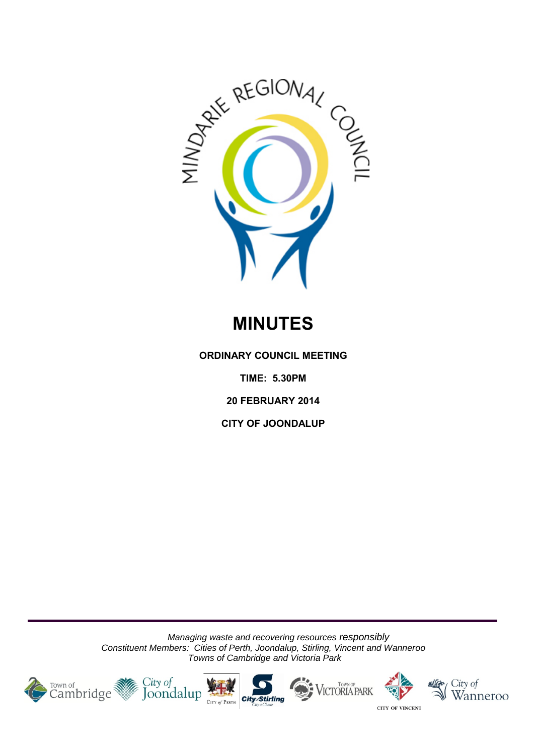

# **MINUTES**

**ORDINARY COUNCIL MEETING**

**TIME: 5.30PM**

**20 FEBRUARY 2014** 

**CITY OF JOONDALUP**

*Managing waste and recovering resources responsibly Constituent Members: Cities of Perth, Joondalup, Stirling, Vincent and Wanneroo Towns of Cambridge and Victoria Park*







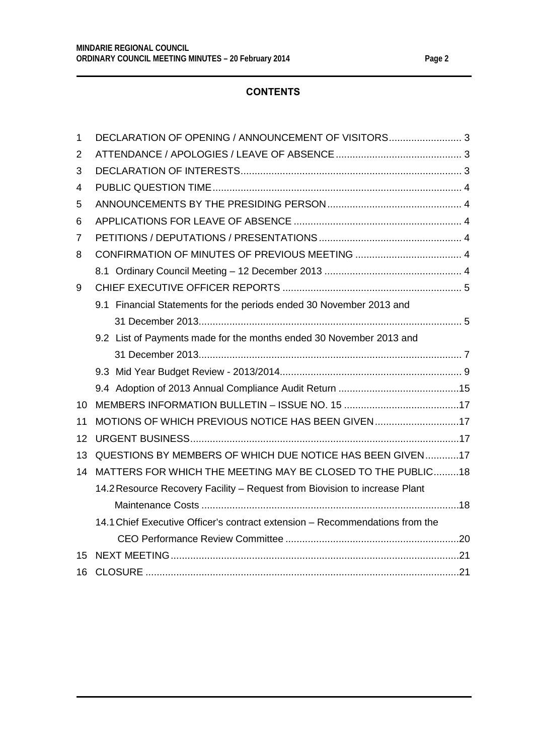# **CONTENTS**

| $\mathbf{1}$ |  | DECLARATION OF OPENING / ANNOUNCEMENT OF VISITORS3                           |  |
|--------------|--|------------------------------------------------------------------------------|--|
| 2            |  |                                                                              |  |
| 3            |  |                                                                              |  |
| 4            |  |                                                                              |  |
| 5            |  |                                                                              |  |
| 6            |  |                                                                              |  |
| 7            |  |                                                                              |  |
| 8            |  |                                                                              |  |
|              |  |                                                                              |  |
| 9            |  |                                                                              |  |
|              |  | 9.1 Financial Statements for the periods ended 30 November 2013 and          |  |
|              |  |                                                                              |  |
|              |  | 9.2 List of Payments made for the months ended 30 November 2013 and          |  |
|              |  |                                                                              |  |
|              |  |                                                                              |  |
|              |  |                                                                              |  |
| 10           |  |                                                                              |  |
| 11           |  | MOTIONS OF WHICH PREVIOUS NOTICE HAS BEEN GIVEN17                            |  |
| 12           |  |                                                                              |  |
| 13           |  | QUESTIONS BY MEMBERS OF WHICH DUE NOTICE HAS BEEN GIVEN17                    |  |
| 14           |  | MATTERS FOR WHICH THE MEETING MAY BE CLOSED TO THE PUBLIC18                  |  |
|              |  | 14.2 Resource Recovery Facility - Request from Biovision to increase Plant   |  |
|              |  |                                                                              |  |
|              |  | 14.1 Chief Executive Officer's contract extension - Recommendations from the |  |
|              |  |                                                                              |  |
| 15           |  |                                                                              |  |
| 16           |  |                                                                              |  |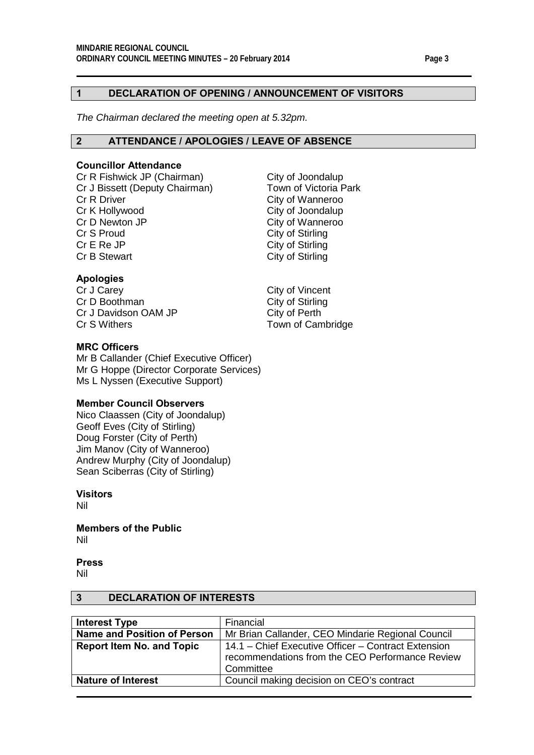# <span id="page-2-0"></span>**1 DECLARATION OF OPENING / ANNOUNCEMENT OF VISITORS**

*The Chairman declared the meeting open at 5.32pm.*

## <span id="page-2-1"></span>**2 ATTENDANCE / APOLOGIES / LEAVE OF ABSENCE**

#### **Councillor Attendance**

Cr R Fishwick JP (Chairman) City of Joondalup Cr J Bissett (Deputy Chairman) Town of Victoria Park Cr R Driver Cr R Driver City of Wanneroo<br>
Cr K Hollywood Cr K Hollywood Cr K Hollywood<br>
Cr D Newton JP

Cr D Newton JP

Cr D Newton JP

Cr D Newton JP

Cr D Newton JP

Cr D Newton JP

Cr D Newton JP

Cr O Newton JP

Cr O Newton JP

Cr O Newton JP

Cr O Newton JP

Cr O Newton JP Cr D Newton JP City of Wanneroo<br>
Cr S Proud City of Stirling Cr S Proud<br>
Cr E Re JP
Cr City of Stirling
Cr E Re JP
City of Stirling
Cr E Re JP
City of Stirling
Cr E Re JP
City of Stirling
Cr E Re JP
City of Stirling
Cr E Re JP
City of Stirling
Cr E Re JP
Cr E Re JP
Cr E RE SUP Cr E Re JP City of Stirling<br>
Cr B Stewart City of Stirling

**Apologies**

Cr D Boothman Cr D Boothman City of Stirling<br>
Cr J Davidson OAM JP City of Perth Cr J Davidson OAM JP<br>Cr S Withers

## **MRC Officers**

Mr B Callander (Chief Executive Officer) Mr G Hoppe (Director Corporate Services) Ms L Nyssen (Executive Support)

#### **Member Council Observers**

Nico Claassen (City of Joondalup) Geoff Eves (City of Stirling) Doug Forster (City of Perth) Jim Manov (City of Wanneroo) Andrew Murphy (City of Joondalup) Sean Sciberras (City of Stirling)

## **Visitors**

Nil

**Members of the Public** Nil

**Press** Nil

## <span id="page-2-2"></span>**3 DECLARATION OF INTERESTS**

| <b>Interest Type</b>               | Financial                                                                                                           |
|------------------------------------|---------------------------------------------------------------------------------------------------------------------|
| <b>Name and Position of Person</b> | Mr Brian Callander, CEO Mindarie Regional Council                                                                   |
| <b>Report Item No. and Topic</b>   | 14.1 – Chief Executive Officer – Contract Extension<br>recommendations from the CEO Performance Review<br>Committee |
| <b>Nature of Interest</b>          | Council making decision on CEO's contract                                                                           |
|                                    |                                                                                                                     |

City of Stirling

City of Vincent Town of Cambridge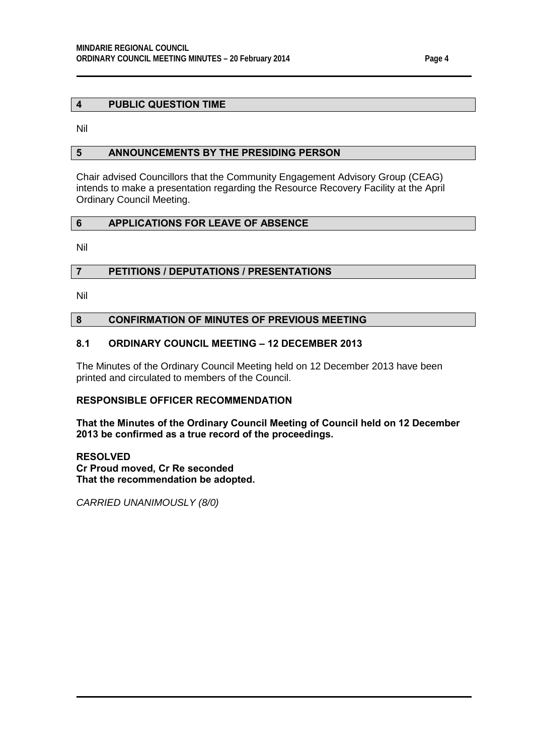# <span id="page-3-0"></span>**4 PUBLIC QUESTION TIME**

Nil

# <span id="page-3-1"></span>**5 ANNOUNCEMENTS BY THE PRESIDING PERSON**

Chair advised Councillors that the Community Engagement Advisory Group (CEAG) intends to make a presentation regarding the Resource Recovery Facility at the April Ordinary Council Meeting.

# <span id="page-3-2"></span>**6 APPLICATIONS FOR LEAVE OF ABSENCE**

Nil

# <span id="page-3-3"></span>**7 PETITIONS / DEPUTATIONS / PRESENTATIONS**

Nil

## <span id="page-3-4"></span>**8 CONFIRMATION OF MINUTES OF PREVIOUS MEETING**

#### <span id="page-3-5"></span>**8.1 ORDINARY COUNCIL MEETING – 12 DECEMBER 2013**

The Minutes of the Ordinary Council Meeting held on 12 December 2013 have been printed and circulated to members of the Council.

## **RESPONSIBLE OFFICER RECOMMENDATION**

**That the Minutes of the Ordinary Council Meeting of Council held on 12 December 2013 be confirmed as a true record of the proceedings.**

**RESOLVED Cr Proud moved, Cr Re seconded That the recommendation be adopted.**

*CARRIED UNANIMOUSLY (8/0)*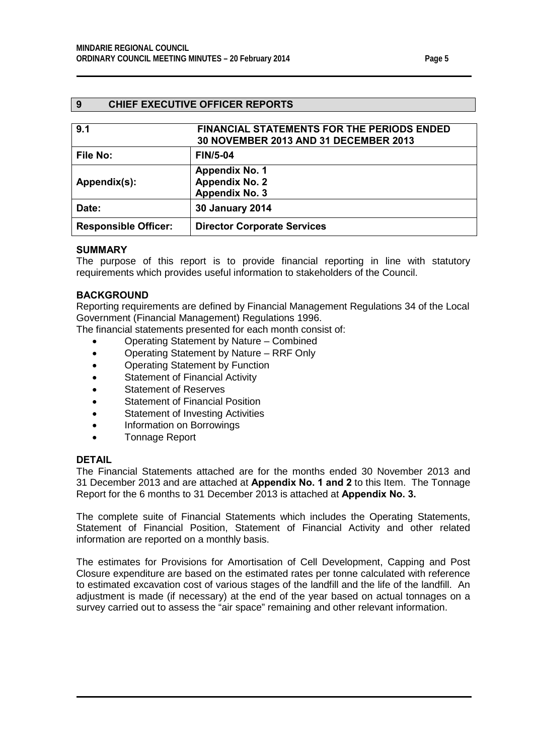# <span id="page-4-0"></span>**9 CHIEF EXECUTIVE OFFICER REPORTS**

<span id="page-4-2"></span><span id="page-4-1"></span>

| 9.1                         | <b>FINANCIAL STATEMENTS FOR THE PERIODS ENDED</b><br>30 NOVEMBER 2013 AND 31 DECEMBER 2013 |
|-----------------------------|--------------------------------------------------------------------------------------------|
| <b>File No:</b>             | <b>FIN/5-04</b>                                                                            |
| Appendix(s):                | <b>Appendix No. 1</b><br><b>Appendix No. 2</b><br><b>Appendix No. 3</b>                    |
| Date:                       | <b>30 January 2014</b>                                                                     |
| <b>Responsible Officer:</b> | <b>Director Corporate Services</b>                                                         |

#### **SUMMARY**

The purpose of this report is to provide financial reporting in line with statutory requirements which provides useful information to stakeholders of the Council.

## **BACKGROUND**

Reporting requirements are defined by Financial Management Regulations 34 of the Local Government (Financial Management) Regulations 1996.

The financial statements presented for each month consist of:

- Operating Statement by Nature Combined
- Operating Statement by Nature RRF Only
- Operating Statement by Function
- Statement of Financial Activity
- Statement of Reserves
- Statement of Financial Position
- Statement of Investing Activities
- Information on Borrowings
- Tonnage Report

#### **DETAIL**

The Financial Statements attached are for the months ended 30 November 2013 and 31 December 2013 and are attached at **Appendix No. 1 and 2** to this Item. The Tonnage Report for the 6 months to 31 December 2013 is attached at **Appendix No. 3.**

The complete suite of Financial Statements which includes the Operating Statements, Statement of Financial Position, Statement of Financial Activity and other related information are reported on a monthly basis.

The estimates for Provisions for Amortisation of Cell Development, Capping and Post Closure expenditure are based on the estimated rates per tonne calculated with reference to estimated excavation cost of various stages of the landfill and the life of the landfill. An adjustment is made (if necessary) at the end of the year based on actual tonnages on a survey carried out to assess the "air space" remaining and other relevant information.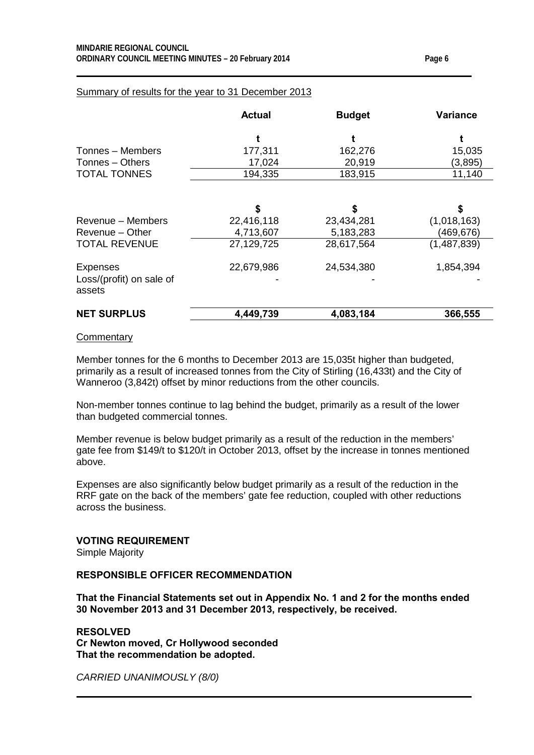|                                    | <b>Actual</b> | <b>Budget</b> | <b>Variance</b> |
|------------------------------------|---------------|---------------|-----------------|
|                                    |               |               |                 |
| Tonnes - Members                   | 177,311       | 162,276       | 15,035          |
| Tonnes – Others                    | 17,024        | 20,919        | (3,895)         |
| <b>TOTAL TONNES</b>                | 194,335       | 183,915       | 11,140          |
|                                    | \$            |               | \$              |
| Revenue - Members                  | 22,416,118    | 23,434,281    | (1,018,163)     |
| Revenue – Other                    | 4,713,607     | 5,183,283     | (469, 676)      |
| <b>TOTAL REVENUE</b>               | 27,129,725    | 28,617,564    | (1,487,839)     |
| <b>Expenses</b>                    | 22,679,986    | 24,534,380    | 1,854,394       |
| Loss/(profit) on sale of<br>assets |               |               |                 |
| <b>NET SURPLUS</b>                 | 4,449,739     | 4,083,184     | 366,555         |

# Summary of results for the year to 31 December 2013

#### **Commentary**

Member tonnes for the 6 months to December 2013 are 15,035t higher than budgeted, primarily as a result of increased tonnes from the City of Stirling (16,433t) and the City of Wanneroo (3,842t) offset by minor reductions from the other councils.

Non-member tonnes continue to lag behind the budget, primarily as a result of the lower than budgeted commercial tonnes.

Member revenue is below budget primarily as a result of the reduction in the members' gate fee from \$149/t to \$120/t in October 2013, offset by the increase in tonnes mentioned above.

Expenses are also significantly below budget primarily as a result of the reduction in the RRF gate on the back of the members' gate fee reduction, coupled with other reductions across the business.

## **VOTING REQUIREMENT**

Simple Majority

# **RESPONSIBLE OFFICER RECOMMENDATION**

**That the Financial Statements set out in Appendix No. 1 and 2 for the months ended 30 November 2013 and 31 December 2013, respectively, be received.**

**RESOLVED Cr Newton moved, Cr Hollywood seconded That the recommendation be adopted.**

*CARRIED UNANIMOUSLY (8/0)*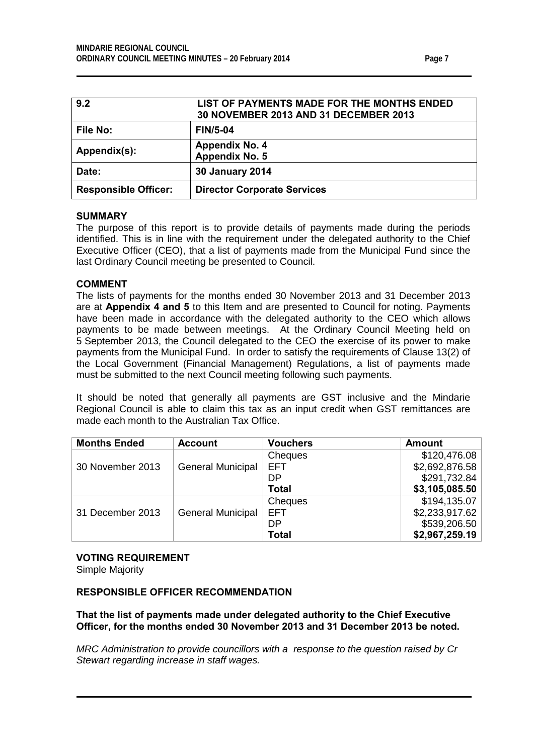<span id="page-6-1"></span><span id="page-6-0"></span>

| 9.2                         | LIST OF PAYMENTS MADE FOR THE MONTHS ENDED<br>30 NOVEMBER 2013 AND 31 DECEMBER 2013 |
|-----------------------------|-------------------------------------------------------------------------------------|
| <b>File No:</b>             | <b>FIN/5-04</b>                                                                     |
| Appendix(s):                | <b>Appendix No. 4</b><br>Appendix No. 5                                             |
| Date:                       | <b>30 January 2014</b>                                                              |
| <b>Responsible Officer:</b> | <b>Director Corporate Services</b>                                                  |

## **SUMMARY**

The purpose of this report is to provide details of payments made during the periods identified. This is in line with the requirement under the delegated authority to the Chief Executive Officer (CEO), that a list of payments made from the Municipal Fund since the last Ordinary Council meeting be presented to Council.

## **COMMENT**

The lists of payments for the months ended 30 November 2013 and 31 December 2013 are at **Appendix 4 and 5** to this Item and are presented to Council for noting. Payments have been made in accordance with the delegated authority to the CEO which allows payments to be made between meetings. At the Ordinary Council Meeting held on 5 September 2013, the Council delegated to the CEO the exercise of its power to make payments from the Municipal Fund. In order to satisfy the requirements of Clause 13(2) of the Local Government (Financial Management) Regulations, a list of payments made must be submitted to the next Council meeting following such payments.

It should be noted that generally all payments are GST inclusive and the Mindarie Regional Council is able to claim this tax as an input credit when GST remittances are made each month to the Australian Tax Office.

| <b>Months Ended</b> | <b>Account</b>           | <b>Vouchers</b> | <b>Amount</b>  |
|---------------------|--------------------------|-----------------|----------------|
|                     |                          | Cheques         | \$120,476.08   |
| 30 November 2013    | <b>General Municipal</b> | EFT.            | \$2,692,876.58 |
|                     |                          | DP              | \$291,732.84   |
|                     |                          | <b>Total</b>    | \$3,105,085.50 |
|                     |                          | Cheques         | \$194,135.07   |
| 31 December 2013    | <b>General Municipal</b> | <b>EFT</b>      | \$2,233,917.62 |
|                     |                          | DP              | \$539,206.50   |
|                     |                          | <b>Total</b>    | \$2,967,259.19 |

## **VOTING REQUIREMENT**

Simple Majority

## **RESPONSIBLE OFFICER RECOMMENDATION**

**That the list of payments made under delegated authority to the Chief Executive Officer, for the months ended 30 November 2013 and 31 December 2013 be noted.**

*MRC Administration to provide councillors with a response to the question raised by Cr Stewart regarding increase in staff wages.*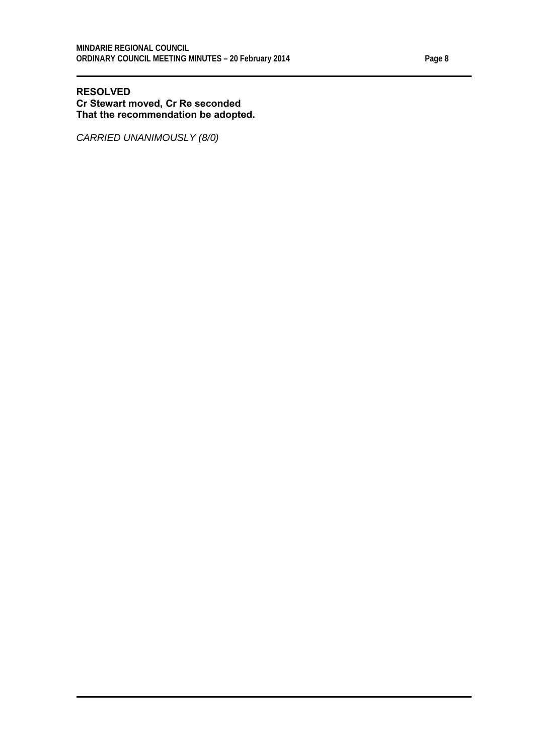# **RESOLVED Cr Stewart moved, Cr Re seconded That the recommendation be adopted.**

*CARRIED UNANIMOUSLY (8/0)*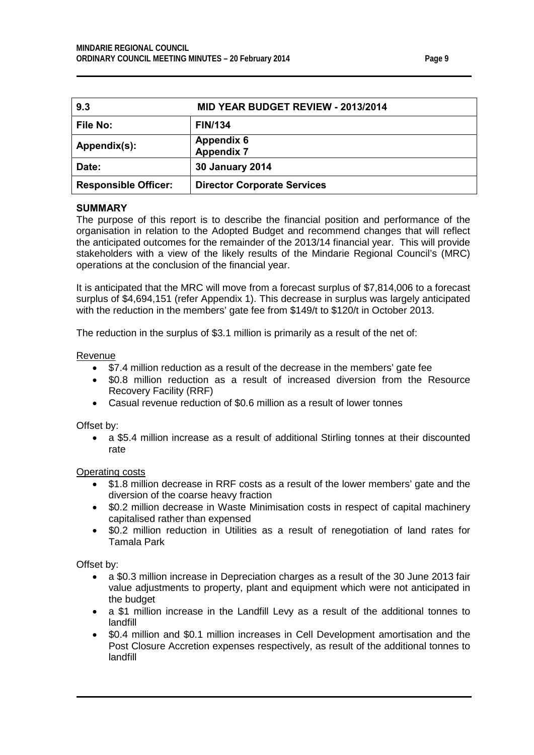<span id="page-8-0"></span>

| 9.3                         | <b>MID YEAR BUDGET REVIEW - 2013/2014</b> |  |
|-----------------------------|-------------------------------------------|--|
| <b>File No:</b>             | <b>FIN/134</b>                            |  |
| Appendix(s):                | <b>Appendix 6</b><br><b>Appendix 7</b>    |  |
| Date:                       | <b>30 January 2014</b>                    |  |
| <b>Responsible Officer:</b> | <b>Director Corporate Services</b>        |  |

## **SUMMARY**

The purpose of this report is to describe the financial position and performance of the organisation in relation to the Adopted Budget and recommend changes that will reflect the anticipated outcomes for the remainder of the 2013/14 financial year. This will provide stakeholders with a view of the likely results of the Mindarie Regional Council's (MRC) operations at the conclusion of the financial year.

It is anticipated that the MRC will move from a forecast surplus of \$7,814,006 to a forecast surplus of \$4,694,151 (refer Appendix 1). This decrease in surplus was largely anticipated with the reduction in the members' gate fee from \$149/t to \$120/t in October 2013.

The reduction in the surplus of \$3.1 million is primarily as a result of the net of:

## Revenue

- \$7.4 million reduction as a result of the decrease in the members' gate fee
- \$0.8 million reduction as a result of increased diversion from the Resource Recovery Facility (RRF)
- Casual revenue reduction of \$0.6 million as a result of lower tonnes

Offset by:

• a \$5.4 million increase as a result of additional Stirling tonnes at their discounted rate

# Operating costs

- \$1.8 million decrease in RRF costs as a result of the lower members' gate and the diversion of the coarse heavy fraction
- \$0.2 million decrease in Waste Minimisation costs in respect of capital machinery capitalised rather than expensed
- \$0.2 million reduction in Utilities as a result of renegotiation of land rates for Tamala Park

Offset by:

- a \$0.3 million increase in Depreciation charges as a result of the 30 June 2013 fair value adjustments to property, plant and equipment which were not anticipated in the budget
- a \$1 million increase in the Landfill Levy as a result of the additional tonnes to landfill
- \$0.4 million and \$0.1 million increases in Cell Development amortisation and the Post Closure Accretion expenses respectively, as result of the additional tonnes to landfill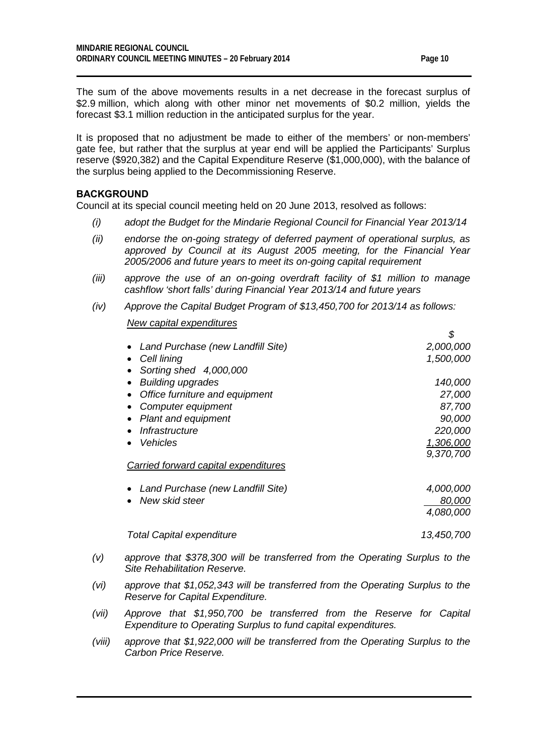The sum of the above movements results in a net decrease in the forecast surplus of \$2.9 million, which along with other minor net movements of \$0.2 million, yields the forecast \$3.1 million reduction in the anticipated surplus for the year.

It is proposed that no adjustment be made to either of the members' or non-members' gate fee, but rather that the surplus at year end will be applied the Participants' Surplus reserve (\$920,382) and the Capital Expenditure Reserve (\$1,000,000), with the balance of the surplus being applied to the Decommissioning Reserve.

# **BACKGROUND**

Council at its special council meeting held on 20 June 2013, resolved as follows:

- *(i) adopt the Budget for the Mindarie Regional Council for Financial Year 2013/14*
- *(ii) endorse the on-going strategy of deferred payment of operational surplus, as approved by Council at its August 2005 meeting, for the Financial Year 2005/2006 and future years to meet its on-going capital requirement*
- *(iii) approve the use of an on-going overdraft facility of \$1 million to manage cashflow 'short falls' during Financial Year 2013/14 and future years*
- *(iv) Approve the Capital Budget Program of \$13,450,700 for 2013/14 as follows:*

## *New capital expenditures*

|                                             | \$         |
|---------------------------------------------|------------|
| Land Purchase (new Landfill Site)           | 2,000,000  |
| Cell lining<br>$\bullet$                    | 1,500,000  |
| Sorting shed 4,000,000                      |            |
| <b>Building upgrades</b><br>$\bullet$       | 140,000    |
| Office furniture and equipment<br>$\bullet$ | 27,000     |
| Computer equipment                          | 87,700     |
| Plant and equipment                         | 90,000     |
| Infrastructure                              | 220,000    |
| <i><b>Vehicles</b></i>                      | 1,306,000  |
|                                             | 9,370,700  |
| Carried forward capital expenditures        |            |
| Land Purchase (new Landfill Site)           | 4,000,000  |
| New skid steer                              | 80,000     |
|                                             | 4,080,000  |
| <b>Total Capital expenditure</b>            | 13,450,700 |

- *(v) approve that \$378,300 will be transferred from the Operating Surplus to the Site Rehabilitation Reserve.*
- *(vi) approve that \$1,052,343 will be transferred from the Operating Surplus to the Reserve for Capital Expenditure.*
- *(vii) Approve that \$1,950,700 be transferred from the Reserve for Capital Expenditure to Operating Surplus to fund capital expenditures.*
- *(viii) approve that \$1,922,000 will be transferred from the Operating Surplus to the Carbon Price Reserve.*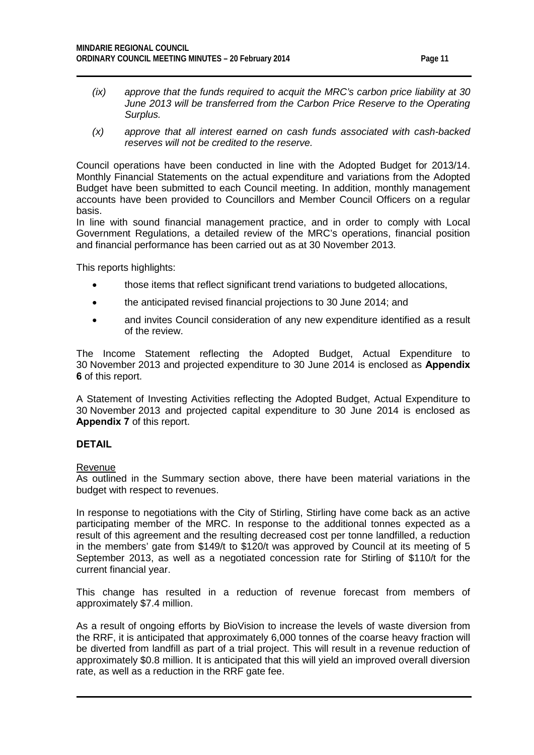- *(ix) approve that the funds required to acquit the MRC's carbon price liability at 30 June 2013 will be transferred from the Carbon Price Reserve to the Operating Surplus.*
- *(x) approve that all interest earned on cash funds associated with cash-backed reserves will not be credited to the reserve.*

Council operations have been conducted in line with the Adopted Budget for 2013/14. Monthly Financial Statements on the actual expenditure and variations from the Adopted Budget have been submitted to each Council meeting. In addition, monthly management accounts have been provided to Councillors and Member Council Officers on a regular basis.

In line with sound financial management practice, and in order to comply with Local Government Regulations, a detailed review of the MRC's operations, financial position and financial performance has been carried out as at 30 November 2013.

This reports highlights:

- those items that reflect significant trend variations to budgeted allocations,
- the anticipated revised financial projections to 30 June 2014; and
- and invites Council consideration of any new expenditure identified as a result of the review.

The Income Statement reflecting the Adopted Budget, Actual Expenditure to 30 November 2013 and projected expenditure to 30 June 2014 is enclosed as **Appendix 6** of this report.

A Statement of Investing Activities reflecting the Adopted Budget, Actual Expenditure to 30 November 2013 and projected capital expenditure to 30 June 2014 is enclosed as **Appendix 7** of this report.

## **DETAIL**

## Revenue

As outlined in the Summary section above, there have been material variations in the budget with respect to revenues.

In response to negotiations with the City of Stirling, Stirling have come back as an active participating member of the MRC. In response to the additional tonnes expected as a result of this agreement and the resulting decreased cost per tonne landfilled, a reduction in the members' gate from \$149/t to \$120/t was approved by Council at its meeting of 5 September 2013, as well as a negotiated concession rate for Stirling of \$110/t for the current financial year.

This change has resulted in a reduction of revenue forecast from members of approximately \$7.4 million.

As a result of ongoing efforts by BioVision to increase the levels of waste diversion from the RRF, it is anticipated that approximately 6,000 tonnes of the coarse heavy fraction will be diverted from landfill as part of a trial project. This will result in a revenue reduction of approximately \$0.8 million. It is anticipated that this will yield an improved overall diversion rate, as well as a reduction in the RRF gate fee.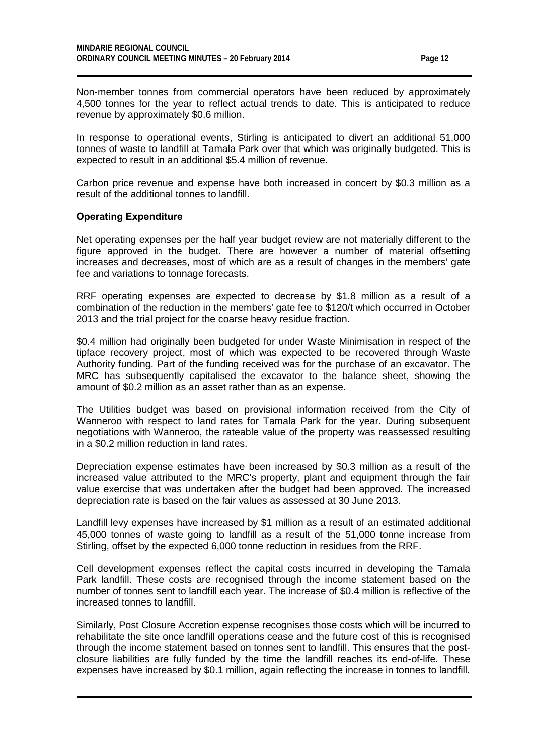Non-member tonnes from commercial operators have been reduced by approximately 4,500 tonnes for the year to reflect actual trends to date. This is anticipated to reduce revenue by approximately \$0.6 million.

In response to operational events, Stirling is anticipated to divert an additional 51,000 tonnes of waste to landfill at Tamala Park over that which was originally budgeted. This is expected to result in an additional \$5.4 million of revenue.

Carbon price revenue and expense have both increased in concert by \$0.3 million as a result of the additional tonnes to landfill.

## **Operating Expenditure**

Net operating expenses per the half year budget review are not materially different to the figure approved in the budget. There are however a number of material offsetting increases and decreases, most of which are as a result of changes in the members' gate fee and variations to tonnage forecasts.

RRF operating expenses are expected to decrease by \$1.8 million as a result of a combination of the reduction in the members' gate fee to \$120/t which occurred in October 2013 and the trial project for the coarse heavy residue fraction.

\$0.4 million had originally been budgeted for under Waste Minimisation in respect of the tipface recovery project, most of which was expected to be recovered through Waste Authority funding. Part of the funding received was for the purchase of an excavator. The MRC has subsequently capitalised the excavator to the balance sheet, showing the amount of \$0.2 million as an asset rather than as an expense.

The Utilities budget was based on provisional information received from the City of Wanneroo with respect to land rates for Tamala Park for the year. During subsequent negotiations with Wanneroo, the rateable value of the property was reassessed resulting in a \$0.2 million reduction in land rates.

Depreciation expense estimates have been increased by \$0.3 million as a result of the increased value attributed to the MRC's property, plant and equipment through the fair value exercise that was undertaken after the budget had been approved. The increased depreciation rate is based on the fair values as assessed at 30 June 2013.

Landfill levy expenses have increased by \$1 million as a result of an estimated additional 45,000 tonnes of waste going to landfill as a result of the 51,000 tonne increase from Stirling, offset by the expected 6,000 tonne reduction in residues from the RRF.

Cell development expenses reflect the capital costs incurred in developing the Tamala Park landfill. These costs are recognised through the income statement based on the number of tonnes sent to landfill each year. The increase of \$0.4 million is reflective of the increased tonnes to landfill.

Similarly, Post Closure Accretion expense recognises those costs which will be incurred to rehabilitate the site once landfill operations cease and the future cost of this is recognised through the income statement based on tonnes sent to landfill. This ensures that the postclosure liabilities are fully funded by the time the landfill reaches its end-of-life. These expenses have increased by \$0.1 million, again reflecting the increase in tonnes to landfill.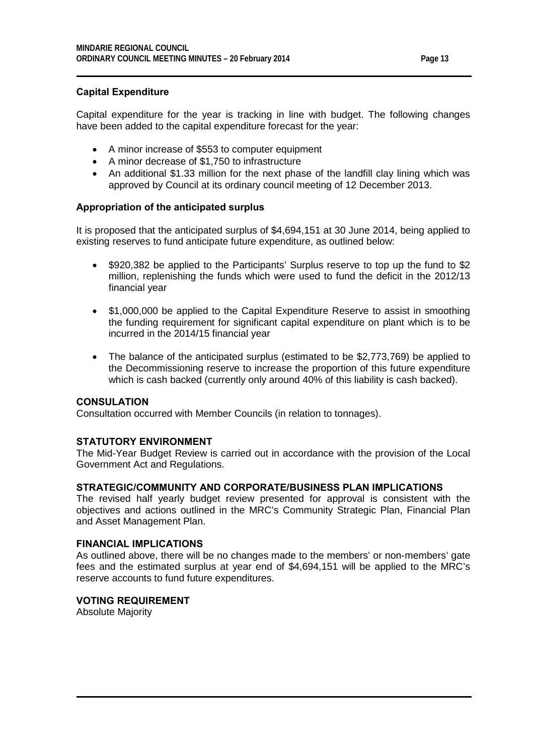# **Capital Expenditure**

Capital expenditure for the year is tracking in line with budget. The following changes have been added to the capital expenditure forecast for the year:

- A minor increase of \$553 to computer equipment
- A minor decrease of \$1,750 to infrastructure
- An additional \$1.33 million for the next phase of the landfill clay lining which was approved by Council at its ordinary council meeting of 12 December 2013.

# **Appropriation of the anticipated surplus**

It is proposed that the anticipated surplus of \$4,694,151 at 30 June 2014, being applied to existing reserves to fund anticipate future expenditure, as outlined below:

- \$920,382 be applied to the Participants' Surplus reserve to top up the fund to \$2 million, replenishing the funds which were used to fund the deficit in the 2012/13 financial year
- \$1,000,000 be applied to the Capital Expenditure Reserve to assist in smoothing the funding requirement for significant capital expenditure on plant which is to be incurred in the 2014/15 financial year
- The balance of the anticipated surplus (estimated to be \$2,773,769) be applied to the Decommissioning reserve to increase the proportion of this future expenditure which is cash backed (currently only around 40% of this liability is cash backed).

## **CONSULATION**

Consultation occurred with Member Councils (in relation to tonnages).

# **STATUTORY ENVIRONMENT**

The Mid-Year Budget Review is carried out in accordance with the provision of the Local Government Act and Regulations.

# **STRATEGIC/COMMUNITY AND CORPORATE/BUSINESS PLAN IMPLICATIONS**

The revised half yearly budget review presented for approval is consistent with the objectives and actions outlined in the MRC's Community Strategic Plan, Financial Plan and Asset Management Plan.

## **FINANCIAL IMPLICATIONS**

As outlined above, there will be no changes made to the members' or non-members' gate fees and the estimated surplus at year end of \$4,694,151 will be applied to the MRC's reserve accounts to fund future expenditures.

## **VOTING REQUIREMENT**

Absolute Majority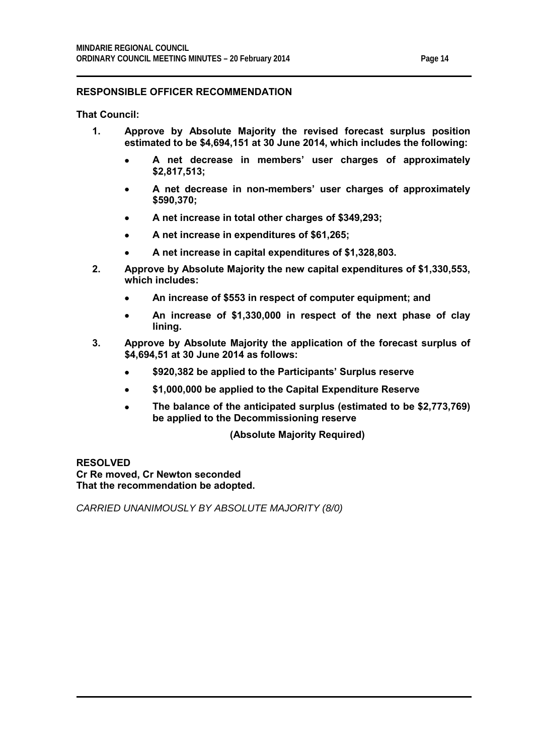**That Council:**

- **1. Approve by Absolute Majority the revised forecast surplus position estimated to be \$4,694,151 at 30 June 2014, which includes the following:**
	- **A net decrease in members' user charges of approximately \$2,817,513;**
	- **A net decrease in non-members' user charges of approximately \$590,370;**
	- **A net increase in total other charges of \$349,293;**
	- **A net increase in expenditures of \$61,265;**
	- **A net increase in capital expenditures of \$1,328,803.**
- **2. Approve by Absolute Majority the new capital expenditures of \$1,330,553, which includes:**
	- **An increase of \$553 in respect of computer equipment; and**
	- **An increase of \$1,330,000 in respect of the next phase of clay lining.**
- **3. Approve by Absolute Majority the application of the forecast surplus of \$4,694,51 at 30 June 2014 as follows:**
	- **\$920,382 be applied to the Participants' Surplus reserve**
	- **\$1,000,000 be applied to the Capital Expenditure Reserve**
	- **The balance of the anticipated surplus (estimated to be \$2,773,769) be applied to the Decommissioning reserve**

# **(Absolute Majority Required)**

**RESOLVED Cr Re moved, Cr Newton seconded That the recommendation be adopted.**

*CARRIED UNANIMOUSLY BY ABSOLUTE MAJORITY (8/0)*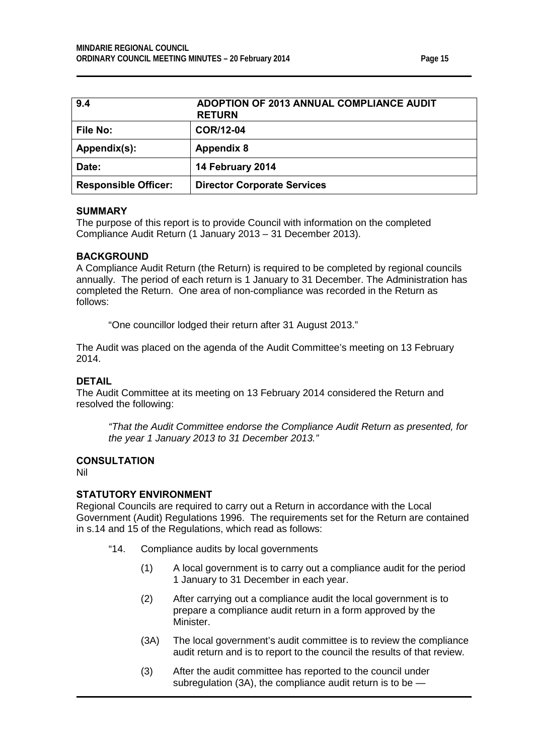<span id="page-14-0"></span>

| 9.4                         | <b>ADOPTION OF 2013 ANNUAL COMPLIANCE AUDIT</b><br><b>RETURN</b> |
|-----------------------------|------------------------------------------------------------------|
| <b>File No:</b>             | COR/12-04                                                        |
| Appendix(s):                | <b>Appendix 8</b>                                                |
| Date:                       | 14 February 2014                                                 |
| <b>Responsible Officer:</b> | <b>Director Corporate Services</b>                               |

## **SUMMARY**

The purpose of this report is to provide Council with information on the completed Compliance Audit Return (1 January 2013 – 31 December 2013).

#### **BACKGROUND**

A Compliance Audit Return (the Return) is required to be completed by regional councils annually. The period of each return is 1 January to 31 December. The Administration has completed the Return. One area of non-compliance was recorded in the Return as follows:

"One councillor lodged their return after 31 August 2013."

The Audit was placed on the agenda of the Audit Committee's meeting on 13 February 2014.

#### **DETAIL**

The Audit Committee at its meeting on 13 February 2014 considered the Return and resolved the following:

*"That the Audit Committee endorse the Compliance Audit Return as presented, for the year 1 January 2013 to 31 December 2013."*

## **CONSULTATION**

Nil

## **STATUTORY ENVIRONMENT**

Regional Councils are required to carry out a Return in accordance with the Local Government (Audit) Regulations 1996. The requirements set for the Return are contained in s.14 and 15 of the Regulations, which read as follows:

- "14. Compliance audits by local governments
	- (1) A local government is to carry out a compliance audit for the period 1 January to 31 December in each year.
	- (2) After carrying out a compliance audit the local government is to prepare a compliance audit return in a form approved by the Minister.
	- (3A) The local government's audit committee is to review the compliance audit return and is to report to the council the results of that review.
	- (3) After the audit committee has reported to the council under subregulation (3A), the compliance audit return is to be —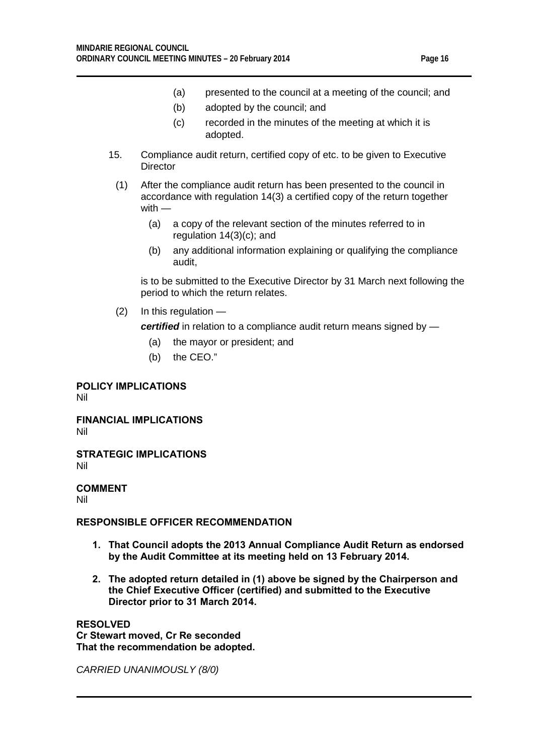- (a) presented to the council at a meeting of the council; and
- (b) adopted by the council; and
- (c) recorded in the minutes of the meeting at which it is adopted.
- 15. Compliance audit return, certified copy of etc. to be given to Executive **Director**
- (1) After the compliance audit return has been presented to the council in accordance with regulation 14(3) a certified copy of the return together with —
	- (a) a copy of the relevant section of the minutes referred to in regulation 14(3)(c); and
	- (b) any additional information explaining or qualifying the compliance audit,

 is to be submitted to the Executive Director by 31 March next following the period to which the return relates.

(2) In this regulation —

*certified* in relation to a compliance audit return means signed by —

- (a) the mayor or president; and
- (b) the CEO."

**POLICY IMPLICATIONS**

Nil

**FINANCIAL IMPLICATIONS** Nil

**STRATEGIC IMPLICATIONS** Nil

**COMMENT**

Nil

# **RESPONSIBLE OFFICER RECOMMENDATION**

- **1. That Council adopts the 2013 Annual Compliance Audit Return as endorsed by the Audit Committee at its meeting held on 13 February 2014.**
- **2. The adopted return detailed in (1) above be signed by the Chairperson and the Chief Executive Officer (certified) and submitted to the Executive Director prior to 31 March 2014.**

**RESOLVED Cr Stewart moved, Cr Re seconded That the recommendation be adopted.** 

*CARRIED UNANIMOUSLY (8/0)*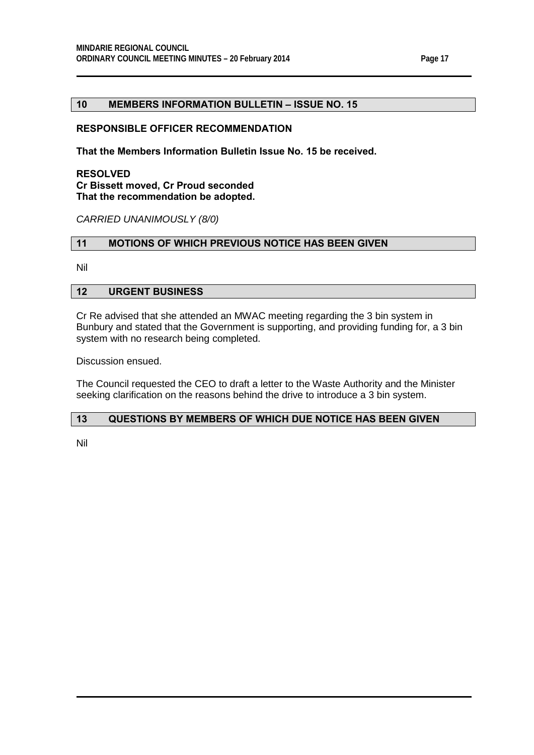# <span id="page-16-0"></span>**10 MEMBERS INFORMATION BULLETIN – ISSUE NO. 15**

## **RESPONSIBLE OFFICER RECOMMENDATION**

**That the Members Information Bulletin Issue No. 15 be received.**

# **RESOLVED Cr Bissett moved, Cr Proud seconded That the recommendation be adopted.**

*CARRIED UNANIMOUSLY (8/0)*

# <span id="page-16-1"></span>**11 MOTIONS OF WHICH PREVIOUS NOTICE HAS BEEN GIVEN**

Nil

## <span id="page-16-2"></span>**12 URGENT BUSINESS**

Cr Re advised that she attended an MWAC meeting regarding the 3 bin system in Bunbury and stated that the Government is supporting, and providing funding for, a 3 bin system with no research being completed.

Discussion ensued.

The Council requested the CEO to draft a letter to the Waste Authority and the Minister seeking clarification on the reasons behind the drive to introduce a 3 bin system.

# <span id="page-16-3"></span>**13 QUESTIONS BY MEMBERS OF WHICH DUE NOTICE HAS BEEN GIVEN**

Nil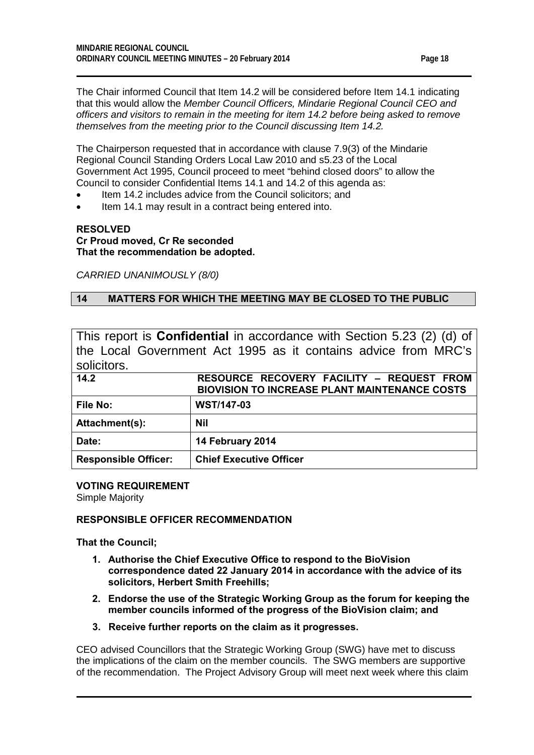The Chair informed Council that Item 14.2 will be considered before Item 14.1 indicating that this would allow the *Member Council Officers, Mindarie Regional Council CEO and officers and visitors to remain in the meeting for item 14.2 before being asked to remove themselves from the meeting prior to the Council discussing Item 14.2.*

The Chairperson requested that in accordance with clause 7.9(3) of the Mindarie Regional Council Standing Orders Local Law 2010 and s5.23 of the Local Government Act 1995, Council proceed to meet "behind closed doors" to allow the Council to consider Confidential Items 14.1 and 14.2 of this agenda as:

- Item 14.2 includes advice from the Council solicitors; and
- Item 14.1 may result in a contract being entered into.

# **RESOLVED Cr Proud moved, Cr Re seconded That the recommendation be adopted.**

*CARRIED UNANIMOUSLY (8/0)*

# <span id="page-17-0"></span>**14 MATTERS FOR WHICH THE MEETING MAY BE CLOSED TO THE PUBLIC**

This report is **Confidential** in accordance with Section 5.23 (2) (d) of the Local Government Act 1995 as it contains advice from MRC's solicitors.

<span id="page-17-1"></span>

| 14.2                        | RESOURCE RECOVERY FACILITY - REQUEST FROM<br><b>BIOVISION TO INCREASE PLANT MAINTENANCE COSTS</b> |
|-----------------------------|---------------------------------------------------------------------------------------------------|
| <b>File No:</b>             | <b>WST/147-03</b>                                                                                 |
| Attachment(s):              | Nil                                                                                               |
| Date:                       | 14 February 2014                                                                                  |
| <b>Responsible Officer:</b> | <b>Chief Executive Officer</b>                                                                    |

## **VOTING REQUIREMENT**

Simple Majority

# **RESPONSIBLE OFFICER RECOMMENDATION**

**That the Council;**

- **1. Authorise the Chief Executive Office to respond to the BioVision correspondence dated 22 January 2014 in accordance with the advice of its solicitors, Herbert Smith Freehills;**
- **2. Endorse the use of the Strategic Working Group as the forum for keeping the member councils informed of the progress of the BioVision claim; and**
- **3. Receive further reports on the claim as it progresses.**

CEO advised Councillors that the Strategic Working Group (SWG) have met to discuss the implications of the claim on the member councils. The SWG members are supportive of the recommendation. The Project Advisory Group will meet next week where this claim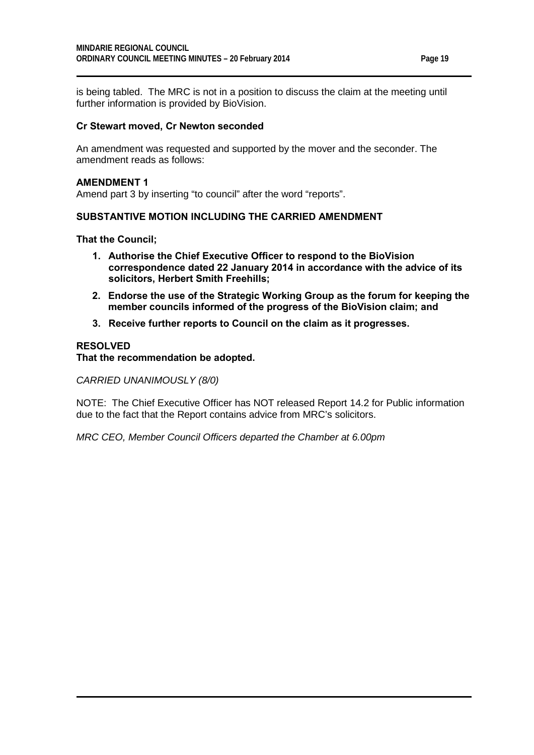is being tabled. The MRC is not in a position to discuss the claim at the meeting until further information is provided by BioVision.

## **Cr Stewart moved, Cr Newton seconded**

An amendment was requested and supported by the mover and the seconder. The amendment reads as follows:

## **AMENDMENT 1**

Amend part 3 by inserting "to council" after the word "reports".

# **SUBSTANTIVE MOTION INCLUDING THE CARRIED AMENDMENT**

**That the Council;**

- **1. Authorise the Chief Executive Officer to respond to the BioVision correspondence dated 22 January 2014 in accordance with the advice of its solicitors, Herbert Smith Freehills;**
- **2. Endorse the use of the Strategic Working Group as the forum for keeping the member councils informed of the progress of the BioVision claim; and**
- **3. Receive further reports to Council on the claim as it progresses.**

## **RESOLVED**

**That the recommendation be adopted.**

*CARRIED UNANIMOUSLY (8/0)*

NOTE: The Chief Executive Officer has NOT released Report 14.2 for Public information due to the fact that the Report contains advice from MRC's solicitors.

*MRC CEO, Member Council Officers departed the Chamber at 6.00pm*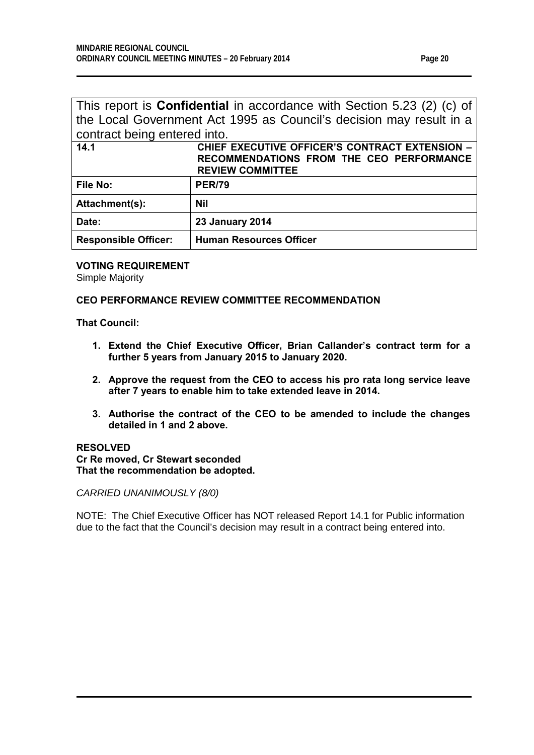<span id="page-19-0"></span>

| This report is <b>Confidential</b> in accordance with Section 5.23 (2) (c) of |                                                                     |  |  |  |
|-------------------------------------------------------------------------------|---------------------------------------------------------------------|--|--|--|
|                                                                               | the Local Government Act 1995 as Council's decision may result in a |  |  |  |
| contract being entered into.                                                  |                                                                     |  |  |  |
| 14.1                                                                          | <b>CHIEF EXECUTIVE OFFICER'S CONTRACT EXTENSION -</b>               |  |  |  |
|                                                                               | RECOMMENDATIONS FROM THE CEO PERFORMANCE                            |  |  |  |
|                                                                               | <b>REVIEW COMMITTEE</b>                                             |  |  |  |
| File No:                                                                      | <b>PER/79</b>                                                       |  |  |  |
| Attachment(s):                                                                | <b>Nil</b>                                                          |  |  |  |
| Date:                                                                         | <b>23 January 2014</b>                                              |  |  |  |
|                                                                               |                                                                     |  |  |  |

**VOTING REQUIREMENT**

Simple Majority

# **CEO PERFORMANCE REVIEW COMMITTEE RECOMMENDATION**

**Responsible Officer: Human Resources Officer**

**That Council:**

- **1. Extend the Chief Executive Officer, Brian Callander's contract term for a further 5 years from January 2015 to January 2020.**
- **2. Approve the request from the CEO to access his pro rata long service leave after 7 years to enable him to take extended leave in 2014.**
- **3. Authorise the contract of the CEO to be amended to include the changes detailed in 1 and 2 above.**

# **RESOLVED**

**Cr Re moved, Cr Stewart seconded That the recommendation be adopted.**

*CARRIED UNANIMOUSLY (8/0)*

NOTE: The Chief Executive Officer has NOT released Report 14.1 for Public information due to the fact that the Council's decision may result in a contract being entered into.